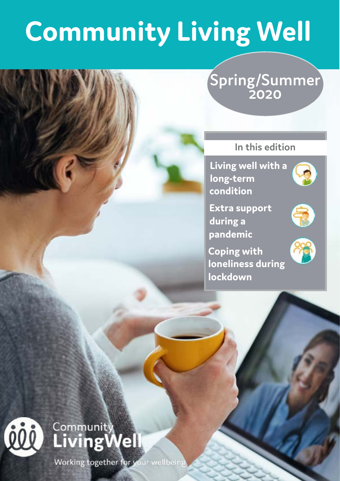# **Community Living Well**

### **Spring/Summer 2020**

#### **In this edition**

**Living well with a long-term condition**

**Extra support during a pandemic**

**Coping with loneliness during lockdown**



## $\widehat{\mathbb{R}}$





Working together for your wellbeing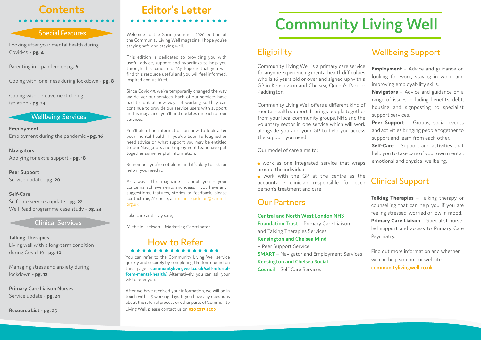# **Community Living Well**

### **Eligibility**

### Wellbeing Support

Peer Support - Groups, social events and activities bringing people together to support and learn from each other.

**Navigators** – Advice and guidance on a range of issues including benefits, debt, housing and signposting to specialist support services.

**Self-Care** – Support and activities that help you to take care of your own mental, emotional and physical wellbeing.

**Employment** – Advice and guidance on looking for work, staying in work, and improving employability skills. Community Living Well is a primary care service for anyone experiencing mental health difficulties who is 16 years old or over and signed up with a GP in Kensington and Chelsea, Queen's Park or Paddington.

### Clinical Support

**Talking Therapies** – Talking therapy or counselling that can help you if you are feeling stressed, worried or low in mood. **Primary Care Liaison** – Specialist nurseled support and access to Primary Care Psychiatry.

Community Living Well offers a different kind of mental health support. It brings people together from your local community groups, NHS and the voluntary sector in one service which will work alongside you and your GP to help you access the support you need.

Our model of care aims to:

 work as one integrated service that wraps around the individual

 work with the GP at the centre as the accountable clinician responsible for each person's treatment and care

### **Contents Editor's Letter**

**Employment** Employment during the pandemic **- pg. 16**

**Navigators** Applying for extra support - **pg. 18**

**Peer Support** Service update - **pg. 20**

**Self-Care**  Self-care services update - **pg. 22** Well Read programme case study - **pg. 23**

**Talking Therapies** Living well with a long-term condition during Covid-19 - **pg. 10**

Managing stress and anxiety during lockdown - **pg. 12**

**Primary Care Liaison Nurses**  Service update - **pg. 24**

quickly and securely by completing the form found on<br>this a page **communitylivingwell couk/self-referral-**You can refer to the Community Living Well service this page **[communitylivingwell.co.uk/self-referral](https://communitylivingwell.co.uk/self-referral-form-mental-health/)[form-mental-health/](https://communitylivingwell.co.uk/self-referral-form-mental-health/).** Alternatively, you can ask your GP to refer you.

**Resource List - pg. 25**

Welcome to the Spring/Summer 2020 edition of the Community Living Well magazine. I hope you're staying safe and staying well.

This edition is dedicated to providing you with useful advice, support and hyperlinks to help you through this pandemic. My hope is that you will find this resource useful and you will feel informed, inspired and uplifted.

Since Covid-19, we've temporarily changed the way we deliver our services. Each of our services have had to look at new ways of working so they can continue to provide our service users with support In this magazine, you'll find updates on each of our services.

You'll also find information on how to look after your mental health. If you've been furloughed or need advice on what support you may be entitled to, our Navigators and Employment team have put together some helpful information.

Remember, you're not alone and it's okay to ask for help if you need it.

As always, this magazine is about you – your concerns, achievements and ideas. If you have any suggestions, features, stories or feedback, please contact me, Michelle, at [michelle.jackson@kcmind.](mailto:michelle.jackson%40kcmind.org.uk?subject=) [org.uk](mailto:michelle.jackson%40kcmind.org.uk?subject=).

Take care and stay safe,

Clinical Services<br>
Michelle Jackson – Marketing Coordinator

#### Wellbeing Services

#### Our Partners

**Central and North West London NHS Foundation Trust** – Primary Care Liaison and Talking Therapies Services **Kensington and Chelsea Mind** – Peer Support Service **SMART** – Navigator and Employment Services **Kensington and Chelsea Social Council** – Self-Care Services

Find out more information and whether we can help you on our website **[communitylivingwell.co.uk](http://communitylivingwell.co.uk)**

### How to Refer

After we have received your information, we will be in touch within 5 working days. If you have any questions about the referral process or other parts of Community Living Well, please contact us on **020 3317 4200**

#### Special Features

Looking after your mental health during Covid-19 - **pg. 4**

Parenting in a pandemic **- pg. 6**

Coping with loneliness during lockdown - **pg. 8**

Coping with bereavement during isolation **- pg. 14**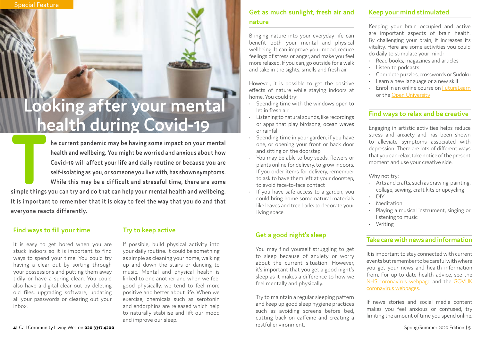**THE CALL ST WATER SIMPLE THE CALL ST WATER SIMPLE THE CALL ST WHILE THE CALL ST WHILE THE CALL ST WHILE THE CALL ST WHILE THE CALL ST WHILE THE SIMPLE THE SIMPLE THE SIMPLE THE SIMPLE THE SIMPLE THE SIMPLE THE SIMPLE THE health and wellbeing. You might be worried and anxious about how Covid-19 will affect your life and daily routine or because you are self-isolating as you, or someone you live with, has shown symptoms. While this may be a difficult and stressful time, there are some simple things you can try and do that can help your mental health and wellbeing. It is important to remember that it is okay to feel the way that you do and that everyone reacts differently.**

#### **Get as much sunlight, fresh air and nature**

Bringing nature into your everyday life can benefit both your mental and physical wellbeing. It can improve your mood, reduce feelings of stress or anger, and make you feel more relaxed. If you can, go outside for a walk and take in the sights, smells and fresh air.

However, it is possible to get the positive effects of nature while staying indoors at home. You could try:



# **health during Covid-19**<br>The alth during Covid-19 or apps that play birdsong, ocean waves Engaging in artistic activities helps reduce

- Spending time with the windows open to let in fresh air
- Listening to natural sounds, like recordings or apps that play birdsong, ocean waves or rainfall
- Spending time in your garden, if you have one, or opening your front or back door and sitting on the doorstep
- You may be able to buy seeds, flowers or plants online for delivery, to grow indoors. If you order items for delivery, remember to ask to have them left at your doorstep, to avoid face-to-face contact
- If you have safe access to a garden, you could bring home some natural materials like leaves and tree barks to decorate your living space.

#### **Take care with news and information**

It is important to stay connected with current events but remember to be careful with where you get your news and health information from. For up-to-date health advice, see the [NHS coronavirus webpage](https://www.nhs.uk/conditions/coronavirus-covid-19/) and the [GOV.UK](https://www.gov.uk/coronavirus) [coronavirus webpages.](https://www.gov.uk/coronavirus)

If news stories and social media content makes you feel anxious or confused, try limiting the amount of time you spend online.

#### **Keep your mind stimulated**

Keeping your brain occupied and active are important aspects of brain health. By challenging your brain, it increases its vitality. Here are some activities you could do daily to stimulate your mind:

- Read books, magazines and articles
- Listen to podcasts
- Complete puzzles, crosswords or Sudoku
- Learn a new language or a new skill
- Enrol in an online course on [FutureLearn](https://www.futurelearn.com/) or the [Open University](https://www.open.edu/openlearn/free-courses/full-catalogue)

Engaging in artistic activities helps reduce stress and anxiety and has been shown to alleviate symptoms associated with depression. There are lots of different ways that you can relax, take notice of the present moment and use your creative side.

Why not try:

- Arts and crafts, such as drawing, painting, collage, sewing, craft kits or upcycling
- DIY
- **Meditation**
- Playing a musical instrument, singing or listening to music
- Writing

#### **Try to keep active**

If possible, build physical activity into your daily routine. It could be something as simple as cleaning your home, walking up and down the stairs or dancing to music. Mental and physical health is linked to one another and when we feel good physically, we tend to feel more positive and better about life. When we exercise, chemicals such as serotonin and endorphins are released which help to naturally stabilise and lift our mood and improve our sleep.

#### **Find ways to fill your time**

It is easy to get bored when you are stuck indoors so it is important to find ways to spend your time. You could try having a clear out by sorting through your possessions and putting them away tidily or have a spring clean. You could also have a digital clear out by deleting old files, upgrading software, updating all your passwords or clearing out your inbox.

#### **Get a good night's sleep**

You may find yourself struggling to get to sleep because of anxiety or worry about the current situation. However, it's important that you get a good night's sleep as it makes a difference to how we feel mentally and physically.

Try to maintain a regular sleeping pattern and keep up good sleep hygiene practices such as avoiding screens before bed, cutting back on caffeine and creating a restful environment.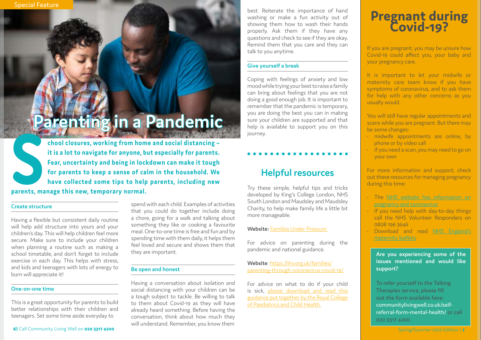#### **Create structure**

Having a flexible but consistent daily routine will help add structure into yours and your children's day. This will help children feel more secure. Make sure to include your children when planning a routine such as making a school timetable, and don't forget to include exercise in each day. This helps with stress, and kids and teenagers with lots of energy to burn will appreciate it!

#### **One-on-one time**

This is a great opportunity for parents to build better relationships with their children and teenagers. Set some time aside everyday to

best. Reiterate the importance of hand washing or make a fun activity out of showing them how to wash their hands properly. Ask them if they have any questions and check to see if they are okay. Remind them that you care and they can talk to you anytime.

#### **Give yourself a break**

Coping with feelings of anxiety and low mood while trying your best to raise a family can bring about feelings that you are not doing a good enough job. It is important to remember that the pandemic is temporary, you are doing the best you can in making sure your children are supported and that help is available to support you on this journey.

### **Helpful resources**

Try these simple, helpful tips and tricks developed by King's College London, NHS South London and Maudsley and Maudsley Charity, to help make family life a little bit more manageable.

**School closures, working from home and social distancing – it is a lot to navigate for anyone, but especially for parents.**<br>Fear, uncertainty and being in lockdown can make it tough for parents to keep a sense of calm in **it is a lot to navigate for anyone, but especially for parents. Fear, uncertainty and being in lockdown can make it tough for parents to keep a sense of calm in the household. We have collected some tips to help parents, including new parents, manage this new, temporary normal.**

#### **Website:** [Families Under Pressure](https://familiesunderpressure.maudsleycharity.org/)

For advice on parenting during the pandemic and national guidance.

**Website**: [https://ihv.org.uk/families/](https://ihv.org.uk/families/parenting-through-coronavirus-covid-19/) [parenting-through-coronavirus-covid-19/](https://ihv.org.uk/families/parenting-through-coronavirus-covid-19/)

For advice on what to do if your child is sick, [please download and read this](https://www.rcpch.ac.uk/sites/default/files/2020-04/covid19_advice_for_parents_when_child_unwell_or_injured_poster.pdf) [guidance put together by the Royal College](https://www.rcpch.ac.uk/sites/default/files/2020-04/covid19_advice_for_parents_when_child_unwell_or_injured_poster.pdf) [of Paediatrics and Child Health.](https://www.rcpch.ac.uk/sites/default/files/2020-04/covid19_advice_for_parents_when_child_unwell_or_injured_poster.pdf)

### **Pregnant during Pregnant during<br>
Covid-19?**

You will still have regular appointments and scans while you are pregnant. But there may be some changes:

spend with each child. Examples of activities that you could do together include doing a chore, going for a walk and talking about something they like or cooking a favourite meal. One-to-one time is free and fun and by spending time with them daily, it helps them feel loved and secure and shows them that they are important.

#### **Be open and honest**

Having a conversation about isolation and social distancing with your children can be a tough subject to tackle. Be willing to talk to them about Covid-19 as they will have already heard something. Before having the conversation, think about how much they will understand. Remember, you know them

# **Parenting in a Pandemic**

Spring/Summer 2020 Edition | **7**

**Are you experiencing some of the issues mentioned and would like support?**

To refer yourself to the Talking Therapies service, please fill out the form available here: [communitylivingwell.co.uk/self](https://communitylivingwell.co.uk/self-referral-form-mental-health/)[referral-form-mental-health/](https://communitylivingwell.co.uk/self-referral-form-mental-health/) or call 020 3317 4200

If you are pregnant, you may be unsure how Covid-19 could affect you, your baby and your pregnancy care.

It is important to let your midwife or maternity care team know if you have symptoms of coronavirus, and to ask them for help with any other concerns as you usually would.

- midwife appointments are online, by phone or by video call
- if you need a scan, you may need to go on your own

For more information and support, check out these resources for managing pregnancy during this time:

- The [NHS website has information on](https://www.nhs.uk/conditions/coronavirus-covid-19/people-at-higher-risk-from-coronavirus/pregnancy-and-coronavirus/)  [pregnancy and coronavirus](https://www.nhs.uk/conditions/coronavirus-covid-19/people-at-higher-risk-from-coronavirus/pregnancy-and-coronavirus/)
- If you need help with day-to-day things call the NHS Volunteer Responders on 0808 196 3646
- Download and read [NHS England's](https://www.england.nhs.uk/coronavirus/publication/maternity-leaflets/)  [maternity leaflets](https://www.england.nhs.uk/coronavirus/publication/maternity-leaflets/)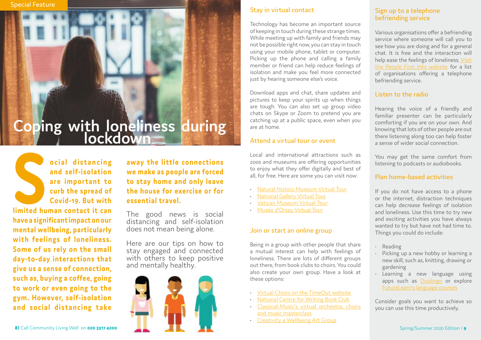The good news is social distancing and self-isolation does not mean being alone.

**away the little connections we make as people are forced to stay home and only leave the house forced**<br> **the house forced**<br> **the spread of**<br> **the house for exercise or for<br>
Covid-19. But with essential travel.<br>
<br>
<b>limited human contact it can**<br>
The good news is social

> Here are our tips on how to stay engaged and connected with others to keep positive and mentally healthy.

**ocial distancing and self-isolation are important to curb the spread of Covid-19. But with** 

**limited human contact it can have a significant impact on our mental wellbeing, particularly with feelings of loneliness. Some of us rely on the small day-to-day interactions that give us a sense of connection, such as, buying a coffee, going to work or even going to the gym. However, self-isolation and social distancing take** 

#### Sign up to a telephone befriending service

Various organisations offer a befriending service where someone will call you to see how you are doing and for a general chat. It is free and the interaction will help ease the feelings of loneliness. [Visit](https://www.peoplefirstinfo.org.uk/going-out-staying-in/things-to-do/befriending-services/)  [the People First Info websit](https://www.peoplefirstinfo.org.uk/going-out-staying-in/things-to-do/befriending-services/)e for a list of organisations offering a telephone befriending service.

#### Listen to the radio

Hearing the voice of a friendly and familiar presenter can be particularly comforting if you are on your own. And knowing that lots of other people are out there listening along too can help foster a sense of wider social connection.

You may get the same comfort from listening to podcasts or audiobooks.

#### Plan home-based activities

If you do not have access to a phone or the internet, distraction techniques can help decrease feelings of isolation and loneliness. Use this time to try new and exciting activities you have always wanted to try but have not had time to. Things you could do include:

- Reading
- Picking up a new hobby or learning a new skill, such as, knitting, drawing or gardening
- Learning a new language using apps such as [Duolingo](https://www.duolingo.com/) or explore [FutureLearn's language courses](https://www.futurelearn.com/subjects/language-courses)

Consider goals you want to achieve so you can use this time productively.

# Coping with loneliness during



#### Stay in virtual contact

Technology has become an important source of keeping in touch during these strange times. While meeting up with family and friends may not be possible right now, you can stay in touch using your mobile phone, tablet or computer. Picking up the phone and calling a family member or friend can help reduce feelings of isolation and make you feel more connected just by hearing someone else's voice.

Download apps and chat, share updates and pictures to keep your spirits up when things are tough. You can also set up group video chats on Skype or Zoom to pretend you are catching up at a public space, even when you are at home.

#### Attend a virtual tour or event

Local and international attractions such as zoos and museums are offering opportunities to enjoy what they offer digitally and best of all, for free. Here are some you can visit now:

- [Natural History Museum Virtual Tour](https://www.nhm.ac.uk/visit/virtual-museum.html)
- [National Gallery Virtual Tour](https://www.nationalgallery.org.uk/visiting/virtual-tours)
- [Vatican Museum Virtual Tour](http://www.museivaticani.va/content/museivaticani/en/collezioni/musei/tour-virtuali-elenco.1.html)
- [Musée d'Orsay Virtual Tour](https://artsandculture.google.com/partner/musee-dorsay-paris)

#### Join or start an online group

Being in a group with other people that share a mutual interest can help with feelings of loneliness. There are lots of different groups out there, from book clubs to choirs. You could also create your own group. Have a look at these options:

- [Virtual Choirs on the TimeOut website](https://www.timeout.com/news/you-can-now-sing-along-with-strangers-in-these-virtual-choirs-032420)
- [National Centre for Writing Book Club](https://nationalcentreforwriting.org.uk/article/join-the-ncw-virtual-book-club/)
- [Classical-Music's virtual orchestra, choirs](http://www.classical-music.com/article/how-join-virtual-orchestras-choirs-and-music-masterclasses-online)  [and music masterclass](http://www.classical-music.com/article/how-join-virtual-orchestras-choirs-and-music-masterclasses-online)
- [Creativity 4 Wellbeing Art Group](https://www.ahsw.org.uk/sector-opportunities/creativity-4-wellbeing-the-holburne-museums-virtual-art-group/)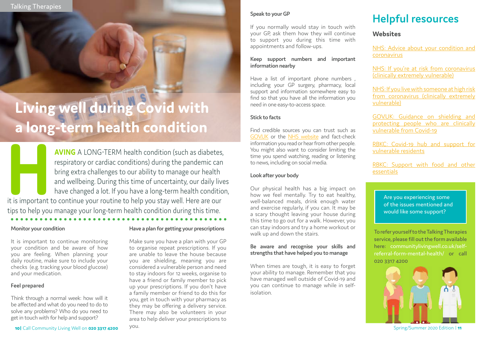#### **Have a plan for getting your prescriptions**

Make sure you have a plan with your GP to organise repeat prescriptions. If you are unable to leave the house because you are shielding, meaning you are considered a vulnerable person and need to stay indoors for 12 weeks, organise to have a friend or family member to pick up your prescriptions. If you don't have a family member or friend to do this for you, get in touch with your pharmacy as they may be offering a delivery service. There may also be volunteers in your area to help deliver your prescriptions to you.

**AVING** A LONG-TERM health condition (such as diabetes, respiratory or cardiac conditions) during the pandemic can bring extra challenges to our ability to manage our health and wellbeing. During this time of uncertainty, respiratory or cardiac conditions) during the pandemic can bring extra challenges to our ability to manage our health and wellbeing. During this time of uncertainty, our daily lives have changed a lot. If you have a long-term health condition, tips to help you manage your long-term health condition during this time.

#### **Speak to your GP**

If you normally would stay in touch with your GP, ask them how they will continue to support you during this time with appointments and follow-ups.

#### **Keep support numbers and important information nearby**

Have a list of important phone numbers , including your GP surgery, pharmacy, local support and information somewhere easy to find so that you have all the information you need in one easy-to-access space.

It is important to continue monitoring your condition and be aware of how you are feeling. When planning your daily routine, make sure to include your checks (e.g. tracking your blood glucose) and your medication.

#### **Stick to facts**

Find credible sources you can trust such as [GOV.UK](https://www.gov.uk/coronavirus) or the [NHS website](https://www.nhs.uk/conditions/coronavirus-covid-19/) and fact-check information you read or hear from other people. You might also want to consider limiting the time you spend watching, reading or listening to news, including on social media.

#### **Look after your body**

Our physical health has a big impact on how we feel mentally. Try to eat healthy, well-balanced meals, drink enough water and exercise regularly, if you can. It may be a scary thought leaving your house during this time to go out for a walk. However, you can stay indoors and try a home workout or walk up and down the stairs.

#### **Be aware and recognise your skills and strengths that have helped you to manage**

When times are tough, it is easy to forget your ability to manage. Remember that you have managed well outside of Covid-19 and you can continue to manage while in selfisolation.

To refer yourself to the Talking Therapies service, please fill out the form available here: [communitylivingwell.co.uk/self](https://communitylivingwell.co.uk/self-referral-form-mental-health/)[referral-form-mental-health/](https://communitylivingwell.co.uk/self-referral-form-mental-health/) or call 020 3317 4200



#### **Monitor your condition**

#### **Feel prepared**

Think through a normal week: how will it be affected and what do you need to do to solve any problems? Who do you need to get in touch with for help and support?

**10** Call Community Living Well on **020 3317 4200**  $\sqrt{OU}$ .

### **Helpful resources**

#### **Websites**

[NHS: Advice about your condition and](https://www.nhs.uk/conditions/coronavirus-covid-19/people-at-higher-risk-from-coronavirus/advice-about-your-condition-and-coronavirus/) [coronavirus](https://www.nhs.uk/conditions/coronavirus-covid-19/people-at-higher-risk-from-coronavirus/advice-about-your-condition-and-coronavirus/)

[NHS: If you're at risk from coronavirus](https://www.nhs.uk/conditions/coronavirus-covid-19/people-at-higher-risk-from-coronavirus/if-youre-at-very-high-risk-from-coronavirus/) [\(clinically extremely vulnerable\)](https://www.nhs.uk/conditions/coronavirus-covid-19/people-at-higher-risk-from-coronavirus/if-youre-at-very-high-risk-from-coronavirus/)

[NHS: If you live with someone at high risk](https://www.nhs.uk/conditions/coronavirus-covid-19/people-at-higher-risk-from-coronavirus/if-you-live-with-someone-at-very-high-risk-from-coronavirus/) [from coronavirus \(clinically extremely](https://www.nhs.uk/conditions/coronavirus-covid-19/people-at-higher-risk-from-coronavirus/if-you-live-with-someone-at-very-high-risk-from-coronavirus/) [vulnerable\)](https://www.nhs.uk/conditions/coronavirus-covid-19/people-at-higher-risk-from-coronavirus/if-you-live-with-someone-at-very-high-risk-from-coronavirus/)

[GOV.UK: Guidance on shielding and](https://www.gov.uk/government/publications/guidance-on-shielding-and-protecting-extremely-vulnerable-persons-from-covid-19/guidance-on-shielding-and-protecting-extremely-vulnerable-persons-from-covid-19) [protecting people who are clinically](https://www.gov.uk/government/publications/guidance-on-shielding-and-protecting-extremely-vulnerable-persons-from-covid-19/guidance-on-shielding-and-protecting-extremely-vulnerable-persons-from-covid-19) [vulnerable from Covid-19](https://www.gov.uk/government/publications/guidance-on-shielding-and-protecting-extremely-vulnerable-persons-from-covid-19/guidance-on-shielding-and-protecting-extremely-vulnerable-persons-from-covid-19)

[RBKC: Covid-19 hub and support for](https://www.rbkc.gov.uk/coronavirus-covid-19/covid-19-hub-and-support-residents/covid-19-hub-and-support-vulnerable) [vulnerable residents](https://www.rbkc.gov.uk/coronavirus-covid-19/covid-19-hub-and-support-residents/covid-19-hub-and-support-vulnerable)

[RBKC: Support with food and other](https://www.rbkc.gov.uk/coronavirus-covid-19/covid-19-hub-and-support-residents/support-food-and-other-essentials) [essentials](https://www.rbkc.gov.uk/coronavirus-covid-19/covid-19-hub-and-support-residents/support-food-and-other-essentials)

# **Living well during Covid with a long-term health condition**

Are you experiencing some of the issues mentioned and would like some support?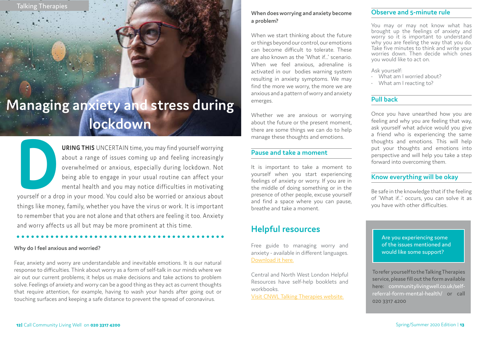**URING THIS** UNCERTAIN time, you may find yourself worrying about a range of issues coming up and feeling increasingly overwhelmed or anxious, especially during lockdown. Not being able to engage in your usual routine can about a range of issues coming up and feeling increasingly overwhelmed or anxious, especially during lockdown. Not being able to engage in your usual routine can affect your mental health and you may notice difficulties in motivating yourself or a drop in your mood. You could also be worried or anxious about things like money, family, whether you have the virus or work. It is important

to remember that you are not alone and that others are feeling it too. Anxiety and worry affects us all but may be more prominent at this time.

**Mother Tongue Counselling Story**

#### **Observe and 5-minute rule**

You may or may not know what has brought up the feelings of anxiety and worry so it is important to understand why you are feeling the way that you do. Take five minutes to think and write your worries down. Then decide which ones you would like to act on.

Ask yourself:

- What am I worried about?
- What am I reacting to?

#### **Pull back**

Once you have unearthed how you are feeling and why you are feeling that way, ask yourself what advice would you give a friend who is experiencing the same thoughts and emotions. This will help put your thoughts and emotions into perspective and will help you take a step forward into overcoming them.

#### **Know everything will be okay**

Be safe in the knowledge that if the feeling of 'What if...' occurs, you can solve it as you have with other difficulties.

#### **When does worrying and anxiety become a problem?**

When we start thinking about the future or things beyond our control, our emotions can become difficult to tolerate. These are also known as the 'What if...' scenario. When we feel anxious, adrenaline is activated in our bodies warning system resulting in anxiety symptoms. We may find the more we worry, the more we are anxious and a pattern of worry and anxiety emerges.

Whether we are anxious or worrying about the future or the present moment, there are some things we can do to help manage these thoughts and emotions.

#### **Pause and take a moment**

It is important to take a moment to yourself when you start experiencing feelings of anxiety or worry. If you are in the middle of doing something or in the presence of other people, excuse yourself and find a space where you can pause, breathe and take a moment.

#### **Why do I feel anxious and worried?**

Fear, anxiety and worry are understandable and inevitable emotions. It is our natural response to difficulties. Think about worry as a form of self-talk in our minds where we air out our current problems; it helps us make decisions and take actions to problem solve. Feelings of anxiety and worry can be a good thing as they act as current thoughts that require attention, for example, having to wash your hands after going out or touching surfaces and keeping a safe distance to prevent the spread of coronavirus.

To refer yourself to the Talking Therapies service, please fill out the form available here: [communitylivingwell.co.uk/self](https://communitylivingwell.co.uk/self-referral-form-mental-health/)[referral-form-mental-health/](https://communitylivingwell.co.uk/self-referral-form-mental-health/) or call 020 3317 4200

Are you experiencing some of the issues mentioned and would like some support?

Talking Therapies

### **Managing anxiety and stress during lockdown**

#### **Helpful resources**

Free guide to managing worry and anxiety - available in different languages. [Download it here.](https://www.psychologytools.com/articles/free-guide-to-living-with-worry-and-anxiety-amidst-global-uncertainty/)

Central and North West London Helpful Resources have self-help booklets and workbooks.

[Visit CNWL Talking Therapies website.](https://talkingtherapies.cnwl.nhs.uk/how-we-can-help/helpful-resources)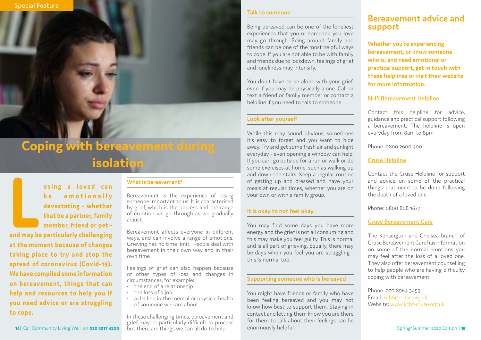**LE SAMPLE SAMPLE SAMPLE SAMPLE SAMPLE SAMPLE SAMPLE SAMPLE SAMPLE SAMPLE SAMPLE SAMPLE SAMPLE SAMPLE SAMPLE SAMPLE SAMPLE SAMPLE SAMPLE SAMPLE SAMPLE SAMPLE SAMPLE SAMPLE SAMPLE SAMPLE SAMPLE SAMPLE SAMPLE SAMPLE SAMPLE S be** emotionally **devastating - whether that be a partner, family member, friend or pet -** 

Bereavement is the experience of losing someone important to us. It is characterised by grief, which is the process and the range of emotion we go through as we gradually adjust.

**at the moment because of changes taking place to try and stop the spread of coronavirus (Covid-19). We have compiled some information on bereavement, things that can help and resources to help you if you need advice or are struggling to cope.**

Feelings of grief can also happen because of other types of loss and changes in circumstances, for example:<br>  $\cdot$  the end of a relationship

**14|** Call Community Living Well on **020 3317 4200**

#### **What is bereavement?**

- 
- 
- the loss of a job<br>• a decline in the mental or physical health of someone we care about.

Bereavement affects everyone in different ways, and can involve a range of emotions. Grieving has no time limit. People deal with bereavement in their own way and in their own time.

In these challenging times, bereavement and grief may be particularly difficult to process but there are things we can all do to help.

#### **Bereavement advice and support**

**Whether you're experiencing bereavement, or know someone who is, and need emotional or practical support, get in touch with these helplines or visit their website for more information.**

You don't have to be alone with your grief, even if you may be physically alone. Call or text a friend or family member or contact a helpline if you need to talk to someone.

#### **[NHS Bereavement Helpline](https://www.nhs.uk/conditions/coronavirus-covid-19/bereavement-advice-and-support/)**

Contact this helpline for advice, guidance and practical support following a bereavement. The helpline is open everyday from 8am to 8pm

Phone: 0800 2600 400

#### **[Cruse Helpline](https://www.cruse.org.uk/get-help/coronavirus-dealing-bereavement-and-grief)**

Contact the Cruse Helpline for support and advice on some of the practical things that need to be done following the death of a loved one.

Phone: 0800 808 1677

#### **[Cruse Bereavement Care](http://www.kchf-cruse.org.uk)**

The Kensington and Chelsea branch of Cruse Bereavement Care has information on some of the normal emotions you may feel after the loss of a loved one. They also offer bereavement counselling to help people who are having difficulty coping with bereavement.

Phone: 020 8964 3455 Email: [kchf@cruse.org.uk](mailto:kchf%40cruse.org.uk?subject=) Website: [www.kchf-cruse.org.uk](http://www.kchf-cruse.org.uk/)

#### **Talk to someone**

Being bereaved can be one of the loneliest experiences that you or someone you love may go through. Being around family and friends can be one of the most helpful ways to cope. If you are not able to be with family and friends due to lockdown, feelings of grief and loneliness may intensify.

#### **Look after yourself**

While this may sound obvious, sometimes it's easy to forget and you want to hide away. Try and get some fresh air and sunlight everyday - even opening a window can help. If you can, go outside for a run or walk or do some exercises at home, such as walking up and down the stairs. Keep a regular routine of getting up and dressed and have your meals at regular times, whether you are on your own or with a family group.

#### **It is okay to not feel okay**

You may find some days you have more energy and the grief is not all consuming and this may make you feel guilty. This is normal and is all part of grieving. Equally, there may be days when you feel you are struggling this Is normal too.

#### **Supporting someone who is bereaved**

You might have friends or family who have been feeling bereaved and you may not know how best to support them. Staying in contact and letting them know you are there for them to talk about their feelings can be enormously helpful.

### **Coping with bereavement during isolation**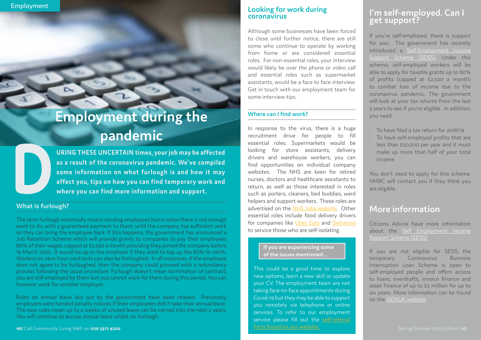## Employment during the **pandemic**

#### **What is furlough?**

The term furlough essentially means sending employees home when there is not enough work to do, with a guaranteed payment to them, until the company has sufficient work so they can bring the employee back. If this happens, the government has announced a Job Retention Scheme which will provide grants to companies to pay their employees 80% of their wages, capped at £2,500 a month providing they joined the company before 19 March 2020. It would be up to the employer if they want to top up the 80% to 100%. Workers on zero-hour contracts can also be furloughed. In all instances, if the employee does not agree to be furloughed, then the company could proceed with a redundancy process following the usual procedure. Furlough doesn't mean termination of contract; you are still employed by them but you cannot work for them during this period. You can however work for another employer.

URING THESE UNCERTAIN times, your job may be affected as a result of the coronavirus pandemic. We've compiled some information on what furlough is and how it may affect you, tips on how you can find temporary work and wher **as a result of the coronavirus pandemic. We've compiled some information on what furlough is and how it may affect you, tips on how you can find temporary work and where you can find more information and support.**

Rules on annual leave laid out by the government have been relaxed. Previously, employers were handed penalty notices if their employees didn't take their annual leave. The new rules mean up to 4 weeks of unused leave can be carried into the next 2 years. You will continue to accrue annual leave whilst on furlough.

#### **Looking for work during coronavirus**

Although some businesses have been forced to close until further notice, there are still some who continue to operate by working from home or are considered essential roles. For non-essential roles, your interview would likely be over the phone or video call and essential roles such as supermarket assistants, would be a face to face interview. Get in touch with our employment team for some interview tips.

#### **Where can I find work?**

In response to the virus, there is a huge recruitment drive for people to fill essential roles. Supermarkets would be looking for store assistants, delivery drivers and warehouse workers; you can find opportunities on individual company websites. The NHS are keen for retired nurses, doctors and healthcare assistants to return, as well as those interested in roles such as porters, cleaners, bed buddies, ward helpers and support workers. These roles are advertised on the [NHS Jobs website.](https://www.jobs.nhs.uk/) Other essential roles include food delivery drivers for companies like [Uber Eats](https://www.uber.com/gb/en-gb/deliver/) and [Deliveroo](https://deliveroo.co.uk/apply) to service those who are self-isolating.

This could be a good time to explore new options, learn a new skill or update your CV. The employment team are not taking face-to-face appointments during Covid-19 but they may be able to support you remotely via telephone or online services. To refer to our employment service please fill out the self-referral [form found on our website.](https://communitylivingwell.co.uk/self-referral-form-mental-health/)

#### **If you are experiencing some of the issues mentioned...**

#### **I'm self-employed. Can I get support?**

If you're self-employed, there is support for you. The government has recently introduced a [Self-Employment Income](https://www.gov.uk/guidance/claim-a-grant-through-the-coronavirus-covid-19-self-employment-income-support-scheme) [Support Scheme \(SEISS\).](https://www.gov.uk/guidance/claim-a-grant-through-the-coronavirus-covid-19-self-employment-income-support-scheme) Under this scheme, self-employed workers will be able to apply for taxable grants up to 80% of profits (capped at £2,500 a month) to combat loss of income due to the coronavirus pandemic. The government will look at your tax returns from the last 3 years to see if you're eligible. In addition, you need:

- To have filed a tax return for 2018/19
- To have self-employed profits that are less than £50,000 per year and it must make up more than half of your total income

You don't need to apply for this scheme. HMRC will contact you if they think you are eligible.

#### **More information**

Citizens Advice have more information about the [Self Employment Income](https://www.citizensadvice.org.uk/work/coronavirus-if-youre-self-employed/) [Support Scheme \(SEISS\).](https://www.citizensadvice.org.uk/work/coronavirus-if-youre-self-employed/)

If you are not eligible for SEISS, the temporary Coronavirus Business Interruption Loan Scheme is open to self-employed people and offers access to loans, overdrafts, invoice finance and asset finance of up to £5 million for up to six years. More information can be found on the [GOV.UK website.](https://www.gov.uk/guidance/apply-for-the-coronavirus-business-interruption-loan-scheme)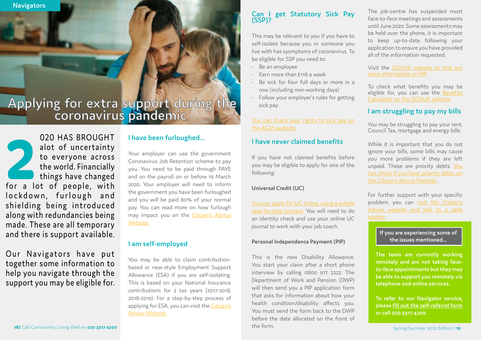**8 Navigators**

#### **I have been furloughed...**

Your employer can use the government Coronavirus Job Retention scheme to pay you. You need to be paid through PAYE and on the payroll on or before 19 March 2020. Your employer will need to inform the government you have been furloughed and you will be paid 80% of your normal pay. You can read more on how furlough may impact you on the [Citizen's Advice](https://www.citizensadvice.org.uk/work/coronavirus-if-your-employer-has-told-you-not-to-work/)  [Website.](https://www.citizensadvice.org.uk/work/coronavirus-if-your-employer-has-told-you-not-to-work/)

#### **I am self-employed**

You may be able to claim contributionbased or new-style Employment Support Allowance (ESA) if you are self-isolating. This is based on your National Insurance contributions for 2 tax years (2017-2018, 2018-2019). For a step-by-step process of applying for ESA, you can visit the [Citizen's](https://www.citizensadvice.org.uk/benefits/sick-or-disabled-people-and-carers/employment-and-support-allowance/help-with-your-esa-claim/claiming-new-style-esa/)  [Advice Website.](https://www.citizensadvice.org.uk/benefits/sick-or-disabled-people-and-carers/employment-and-support-allowance/help-with-your-esa-claim/claiming-new-style-esa/)

The job-centre has suspended most face-to-face meetings and assessments until June 2020. Some assessments may be held over the phone, it is important to keep up-to-date following your application to ensure you have provided all of the information requested.

020 HAS BROUGHT<br>
alot of uncertainty<br>
to everyone across<br>
the world. Financially<br>
things have changed<br>
for a lot of people, with alot of uncertainty to everyone across the world. Financially things have changed lockdown, furlough and shielding being introduced along with redundancies being made. These are all temporary and there is support available.

Our Navigators have put together some information to help you navigate through the support you may be eligible for.

Visit the [GOV.UK website to find out](https://www.gov.uk/pip/how-to-claim) [more information on PIP.](https://www.gov.uk/pip/how-to-claim)

To check what benefits you may be eligible for, you can use the [Benefits](https://www.gov.uk/benefits-calculators) [Calculator on the GOV.UK website.](https://www.gov.uk/benefits-calculators)

#### **I am struggling to pay my bills**

You may be struggling to pay your rent, Council Tax, mortgage and energy bills.

While it is important that you do not ignore your bills, some bills may cause you more problems if they are left unpaid. These are priority debts. [You](https://www.citizensadvice.org.uk/debt-and-money/help-with-debt/dealing-with-your-debts/work-out-which-debts-to-deal-with-first/) [can check if you have priority debts on](https://www.citizensadvice.org.uk/debt-and-money/help-with-debt/dealing-with-your-debts/work-out-which-debts-to-deal-with-first/) [the Citizen's Advice Website](https://www.citizensadvice.org.uk/debt-and-money/help-with-debt/dealing-with-your-debts/work-out-which-debts-to-deal-with-first/).

You can apply for UC online, using a simple [step-by-step process.](https://www.gov.uk/universal-credit) You will need to do an identity check and use your online UC journal to work with your job coach.

For further support with your specific problem, you can [visit the Citizen's](https://www.citizensadvice.org.uk/debt-and-money/if-you-cant-pay-your-bills-because-of-coronavirus/) [Advice website and talk to a debt](https://www.citizensadvice.org.uk/debt-and-money/if-you-cant-pay-your-bills-because-of-coronavirus/) [adviser.](https://www.citizensadvice.org.uk/debt-and-money/if-you-cant-pay-your-bills-because-of-coronavirus/)

# **Applying for extra support during the coronavirus pandemic**

**The team are currently working remotely and are not taking faceto-face appointments but they may be able to support you remotely via telephone and online services.** 

**To refer to our Navigator service, please [fill out the self-referral form](https://communitylivingwell.co.uk/self-referral-form-mental-health/) or call 020 3317 4200.**

**If you are experiencing some of the issues mentioned...**

#### **Can I get Statutory Sick Pay (SSP)?**

This may be relevant to you if you have to self-isolate because you or someone you live with has sysmptoms of coronavirus. To be eligible for SSP you need to:

- Be an employee
- Earn more than £118 a week
- Be sick for four full days or more in a row (including non-working days)
- Follow your employer's rules for getting sick pay

[You can check your rights to sick pay on](https://www.acas.org.uk/coronavirus)  [the ACAS website](https://www.acas.org.uk/coronavirus).

#### **I have never claimed benefits**

If you have not claimed benefits before you may be eligible to apply for one of the following:

#### **Universal Credit (UC)**

#### **Personal Independence Payment (PIP)**

This is the new Disability Allowance. You start your claim after a short phone interview by calling 0800 917 2222. The Department of Work and Pension (DWP) will then send you a PIP application form that asks for information about how your health condition/disability affects you. You must send the form back to the DWP before the date allocated on the front of the form.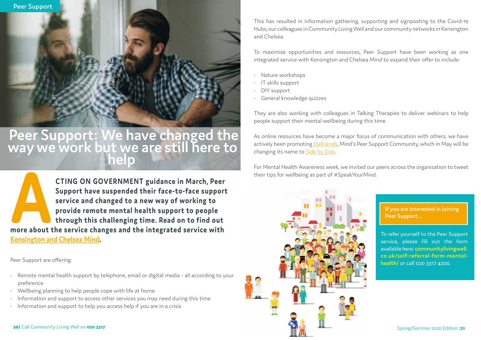To refer yourself to the Peer Support service, please fill out the form available here: **[communitylivingwell.](https://communitylivingwell.co.uk/self-referral-form-mental-health/) [co.uk/self-referral-form-mental](https://communitylivingwell.co.uk/self-referral-form-mental-health/)[health/](https://communitylivingwell.co.uk/self-referral-form-mental-health/)** or call 020 3317 4200.

**If you are interested in joining Peer Support...**



**ACTING ON GOVERNMENT guidance in March, Peer Support have suspended their face-to-face support service and changed to a new way of working to provide remote mental health support to people through this challenging time. R Support have suspended their face-to-face support service and changed to a new way of working to provide remote mental health support to people through this challenging time. Read on to find out [Kensington and Chelsea Mind](http://www.kcmind.org.uk).**

Peer Support are offering:

- Remote mental health support by telephone, email or digital media all according to your preference
- Wellbeing planning to help people cope with life at home
- Information and support to access other services you may need during this time
- Information and support to help you access help if you are in a crisis

# Peer Support: We have changed the **way we work but we are still here to help**

This has resulted in information gathering, supporting and signposting to the Covid-19 Hubs, our colleagues in Community Living Well and our community networks in Kensington and Chelsea.

To maximise opportunities and resources, Peer Support have been working as one integrated service with Kensington and Chelsea Mind to expand their offer to include:

- Nature workshops
- IT skills support
- DIY support
- General knowledge quizzes

They are also working with colleagues in Talking Therapies to deliver webinars to help people support their mental wellbeing during this time.

As online resources have become a major focus of communication with others, we have actively been promoting [Elefriends](https://www.elefriends.org.uk/), Mind's Peer Support Community, which in May will be changing its name to [Side by Side.](https://sidebyside.mind.org.uk/)

For Mental Health Awareness week, we invited our peers across the organisation to tweet their tips for wellbeing as part of #SpeakYourMind.



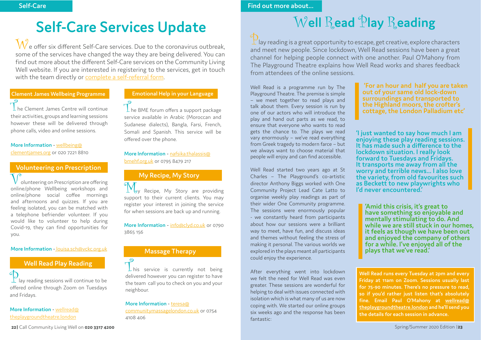$\perp$  he Clement James Centre will continue their activities, groups and learning sessions however these will be delivered through phone calls, video and online sessions.

**More Information** - [wellbeing@](mailto:wellbeing%40clementjames.org?subject=) [clementjames.org](mailto:wellbeing%40clementjames.org?subject=) or 020 7221 8810

 $\perp$  he BME forum offers a support package service available in Arabic (Moroccan and Sudanese dialects), Bangla, Farsi, French, Somali and Spanish. This service will be offered over the phone.

#### **Clement James Wellbeing Programme**

olunteering on Prescription are offering online/phone Wellbeing workshops and online/phone social coffee mornings and afternoons and quizzes. If you are feeling isolated, you can be matched with a telephone befriender volunteer. If you would like to volunteer to help during Covid-19, they can find opportunities for you.

#### **More Information** - [nafsika.thalassis@](mailto:nafsika.thalassis%40bmehf.org.uk?subject=) [bmehf.org.uk](mailto:nafsika.thalassis%40bmehf.org.uk?subject=) or 0795 8479 217

### **Emotional Help in your Language**

**W** Recipe, My Story are providing support to their current clients. You may register your interest in joining the service for when sessions are back up and running.

### **Volunteering on Prescription**

<sup>o</sup>lay reading sessions will continue to be offered online through Zoom on Tuesdays and Fridays[.](mailto:https://voluntarywork.org.uk/?subject=)

#### **More Information** - [louisa.sch@vckc.org.uk](mailto:louisa.sch%40vckc.org.uk?subject=)

**My Recipe, My Story**

**More Information** - [info@clyd.co.uk](mailto:info%40clyd.co.uk?subject=) or 0790 3865 156

#### **Well Read Play Reading**

#### **More Information** - [wellread@](mailto:wellread%40theplaygroundtheatre.london?subject=) [theplaygroundtheatre.london](mailto:wellread%40theplaygroundtheatre.london?subject=)

 $\mathcal{W}_e$  offer six different Self-Care services. Due to the coronavirus outbreak, some of the services have changed the way they are being delivered. You can find out more about the different Self-Care services on the Community Living Well website. If you are interested in registering to the services, get in touch with the team directly or [complete a self-referral form](https://communitylivingwell.co.uk/wellbeing-services-referral-form/).

> **'For an hour and half you are taken out of your same old lock-down surroundings and transported to the Highland moors, the crofter's cottage, the London Palladium etc'**

**P**<br>This service is currently not being delivered however you can register to have the team call you to check on you and your neighbour.

**Find out more about...**

**'I just wanted to say how much I am enjoying these play reading sessions. It has made such a difference to the lockdown situation. I really look forward to Tuesdays and Fridays. It transports me away from all the worry and terrible news… I also love the variety, from old favourites such as Beckett to new playwrights who I'd never encountered.'**

**'Amid this crisis, it's great to have something so enjoyable and mentally stimulating to do. And while we are still stuck in our homes, it feels as though we have been out and enjoyed the company of others for a while. I've enjoyed all of the plays that we've read.'**

**Well Read runs every Tuesday at 2pm and every Friday at 11am on Zoom. Sessions usually last for 75-90 minutes. There's no pressure to read, so if you'd rather just listen that's absolutely fine. Email Paul O'Mahony at [wellread@](mailto:wellread%40theplaygroundtheatre.london?subject=) [theplaygroundtheatre.london](mailto:wellread%40theplaygroundtheatre.london?subject=) and he'll send you the details for each session in advance.** 

 $\mathbb{P}$ lay reading is a great opportunity to escape, get creative, explore characters and meet new people. Since lockdown, Well Read sessions have been a great channel for helping people connect with one another. Paul O'Mahony from The Playground Theatre explains how Well Read works and shares feedback from attendees of the online sessions.

## **Self-Care Services Update**

#### **More Information** - [teresa@](mailto:teresa%40communitymassagelondon.co.uk?subject=)

[communitymassagelondon.co.uk](mailto:teresa%40communitymassagelondon.co.uk?subject=) or 0754 4108 406

#### **Massage Therapy**

### W**ell** R**ead** P**lay** R**eading**

Well Read is a programme run by The Playground Theatre. The premise is simple – we meet together to read plays and talk about them. Every session is run by one of our actors who will introduce the play and hand out parts as we read, to ensure that everyone who wants to read gets the chance to. The plays we read vary enormously – we've read everything from Greek tragedy to modern farce – but we always want to choose material that people will enjoy and can find accessible.

Well Read started two years ago at St Charles – The Playground's co-artistic director Anthony Biggs worked with One Community Project Lead Cate Latto to organise weekly play readings as part of their wider One Community programme. The sessions were enormously popular - we constantly heard from participants about how our sessions were a brilliant way to meet, have fun, and discuss ideas and themes without feeling the stress of making it personal. The various worlds we explored in the plays meant all participants could enjoy the experience.

After everything went into lockdown we felt the need for Well Read was even greater. These sessions are wonderful for helping to deal with issues connected with isolation which is what many of us are now coping with. We started our online groups six weeks ago and the response has been fantastic:

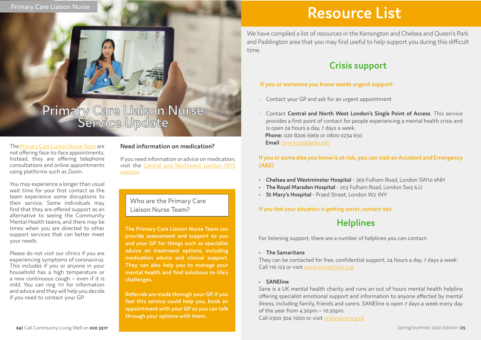# Primary Care Liaison Nurse:<br>Service Update

**The Primary Care Liaison Nurse Team can provide assessment and support to you and your GP for things such as specialist advice on treatment options, including medication advice and clinical support. They can also help you to manage your mental health and find solutions to life's challenges.** 

**Referrals are made through your GP. If you feel this service could help you, book an appointment with your GP so you can talk through your options with them.** 

The [Primary Care Liaison Nurse Team](https://communitylivingwell.co.uk/how-we-can-help-mental-health/primary-care-liaison-nurse-kensington-chelsea-westminster/) are not offering face-to-face appointments. Instead, they are offering telephone consultations and online appointments using platforms such as Zoom.

You may experience a longer than usual wait time for your first contact as the team experience some disruptions to their service. Some individuals may find that they are offered support as an alternative to seeing the Community Mental Health teams, and there may be times when you are directed to other support services that can better meet your needs.

Please do not visit our clinics if you are experiencing symptoms of coronavirus. This includes if you or anyone in your household has a high temperature or a new continuous cough – even if it is mild. You can ring 111 for information and advice and they will help you decide if you need to contact your GP.

### **Resource List**

We have compiled a list of resources in the Kensington and Chelsea and Queen's Park and Paddington area that you may find useful to help support you during this difficult time.

#### **If you or someone you know needs urgent support:**

• Contact **Central and North West London's Single Point of Access**. This service provides a first point of contact for people experiencing a mental health crisis and

- Contact your GP and ask for an urgent appointment
- is open 24 hours a day, 7 days a week. **Phone:** 020 8206 6969 or 0800 0234 650 **Email**: [cnw-tr.spa@nhs.net](mailto:cnw-tr.spa%40nhs.net?subject=)

#### **If you or some else you know is at risk, you can visit an Accident and Emergency (A&E)**

- **• Chelsea and Westminster Hospital** 369 Fulham Road, London SW10 9NH
- **• The Royal Marsden Hospital** 203 Fulham Road, London Sw3 6JJ
- **• St Mary's Hospital** Praed Street, London W2 1NY

#### **If you feel your situation is getting worst, contact 999**

For listening support, there are a number of helplines you can contact:

#### **• The Samaritans**

They can be contacted for free, confidential support, 24 hours a day, 7 days a week: Call 116 123 or visit [www.samaritans.org](http://www.samaritans.org)

#### **• SANEline**

Sane is a UK mental health charity and runs an out of hours mental health helpline offering specialist emotional support and information to anyone affected by mental illness, including family, friends and carers. SANEline is open 7 days a week every day of the year from 4.30pm – 10.30pm. Call 0300 304 7000 or visit [www.sane.org.uk](http://www.sane.org.uk)

### **Crisis support**

### **Helplines**

#### **Need information on medication?**

If you need information or advice on medication, visit the [Central and Northwest London NHS](https://www.cnwl.nhs.uk/patients-and-carers/information-about-medicines)  [website](https://www.cnwl.nhs.uk/patients-and-carers/information-about-medicines).

#### Who are the Primary Care Liaison Nurse Team?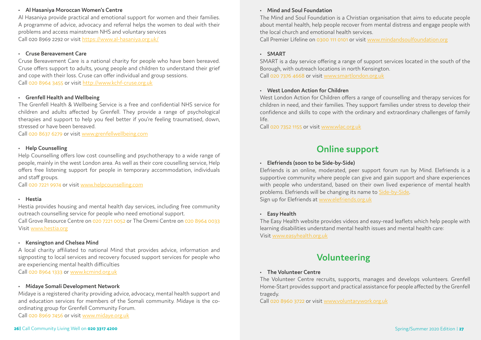Al Hasaniya provide practical and emotional support for women and their families. A programme of advice, advocacy and referral helps the women to deal with their problems and access mainstream NHS and voluntary services Call 020 8969 2292 or visit<https://www.al-hasaniya.org.uk/>

#### **• Al Hasaniya Moroccan Women's Centre**

#### **• Cruse Bereavement Care**

Cruse Bereavement Care is a national charity for people who have been bereaved. Cruse offers support to adults, young people and children to understand their grief and cope with their loss. Cruse can offer individual and group sessions. Call 020 8964 3455 or visit<http://www.kchf-cruse.org.uk>

#### **• Grenfell Health and Wellbeing**

The Grenfell Health & Wellbeing Service is a free and confidential NHS service for children and adults affected by Grenfell. They provide a range of psychological therapies and support to help you feel better if you're feeling traumatised, down, stressed or have been bereaved.

Call 020 8637 6279 or visit [www.grenfellwellbeing.com](https://grenfellwellbeing.com/)

#### **• Help Counselling**

Help Counselling offers low cost counselling and psychotherapy to a wide range of people, mainly in the west London area. As well as their core couselling service, Help offers free listening support for people in temporary accommodation, individuals and staff groups.

Call 020 7221 9974 or visit [www.helpcounselling.com](http://www.helpcounselling.com)

#### **• Hestia**

Hestia provides housing and mental health day services, including free community outreach counselling service for people who need emotional support.

Call Grove Resource Centre on 020 7221 0052 or The Oremi Centre on 020 8964 0033 Visit [www.hestia.org](http://www.hestia.org)

#### **• Kensington and Chelsea Mind**

A local charity affiliated to national Mind that provides advice, information and signposting to local services and recovery focused support services for people who are experiencing mental health difficulties Call 020 8964 1333 or [www.kcmind.org.uk](http://www.kcmind.org.uk)

**• Midaye Somali Development Network**

Midaye is a registered charity providing advice, advocacy, mental health support and and education services for members of the Somali community. Midaye is the coordinating group for Grenfell Community Forum.

Call 020 8969 7456 or visit [www.midaye.org.uk](http://www.midaye.org.uk)

#### **• Mind and Soul Foundation**

The Mind and Soul Foundation is a Christian organisation that aims to educate people about mental health, help people recover from mental distress and engage people with the local church and emotional health services. Call Premier Lifeline on 0300 111 0101 or visit [www.mindandsoulfoundation.org](http://www.mindandsoulfoundation.org)

#### **• SMART**

SMART is a day service offering a range of support services located in the south of the Borough, with outreach locations in north Kensington. Call 020 7376 4668 or visit [www.smartlondon.org.uk](http://www.smartlondon.org.uk)

#### **• West London Action for Children**

West London Action for Children offers a range of counselling and therapy services for children in need, and their families. They support families under stress to develop their confidence and skills to cope with the ordinary and extraordinary challenges of family life.

Call 020 7352 1155 or visit [www.wlac.org.uk](http://www.wlac.org.uk)

#### **• Elefriends (soon to be Side-by-Side)**

Elefriends is an online, moderated, peer support forum run by Mind. Elefriends is a supportive community where people can give and gain support and share experiences with people who understand, based on their own lived experience of mental health problems. Elefriends will be changing its name to [Side-by-Side.](https://sidebyside.mind.org.uk/) Sign up for Elefriends at [www.elefriends.org.uk](https://www.elefriends.org.uk/)

#### **• Easy Health**

The Easy Health website provides videos and easy-read leaflets which help people with learning disabilities understand mental health issues and mental health care: Visit [www.easyhealth.org.uk](https://www.easyhealth.org.uk/)

#### **• The Volunteer Centre**

The Volunteer Centre recruits, supports, manages and develops volunteers. Grenfell Home-Start provides support and practical assistance for people affected by the Grenfell tragedy.

Call 020 8960 3722 or visit [www.voluntarywork.org.uk](http://www.voluntarywork.org.uk)

#### **Online support**

#### **Volunteering**